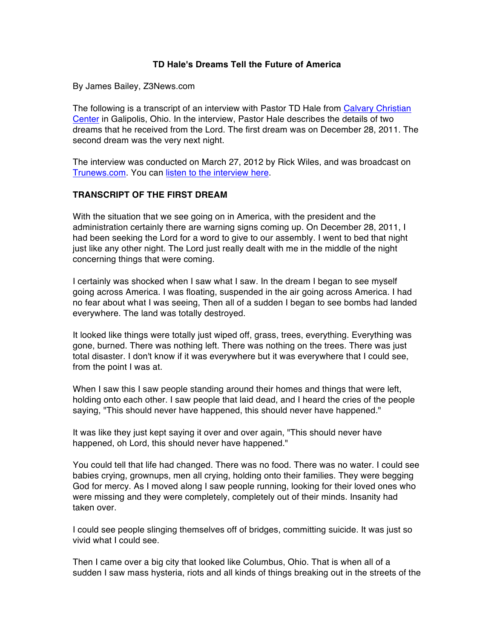## **TD Hale's Dreams Tell the Future of America**

By James Bailey, Z3News.com

The following is a transcript of an interview with Pastor TD Hale from Calvary Christian Center in Galipolis, Ohio. In the interview, Pastor Hale describes the details of two dreams that he received from the Lord. The first dream was on December 28, 2011. The second dream was the very next night.

The interview was conducted on March 27, 2012 by Rick Wiles, and was broadcast on Trunews.com. You can listen to the interview here.

## **TRANSCRIPT OF THE FIRST DREAM**

With the situation that we see going on in America, with the president and the administration certainly there are warning signs coming up. On December 28, 2011, I had been seeking the Lord for a word to give to our assembly. I went to bed that night just like any other night. The Lord just really dealt with me in the middle of the night concerning things that were coming.

I certainly was shocked when I saw what I saw. In the dream I began to see myself going across America. I was floating, suspended in the air going across America. I had no fear about what I was seeing, Then all of a sudden I began to see bombs had landed everywhere. The land was totally destroyed.

It looked like things were totally just wiped off, grass, trees, everything. Everything was gone, burned. There was nothing left. There was nothing on the trees. There was just total disaster. I don't know if it was everywhere but it was everywhere that I could see, from the point I was at.

When I saw this I saw people standing around their homes and things that were left, holding onto each other. I saw people that laid dead, and I heard the cries of the people saying, "This should never have happened, this should never have happened."

It was like they just kept saying it over and over again, "This should never have happened, oh Lord, this should never have happened."

You could tell that life had changed. There was no food. There was no water. I could see babies crying, grownups, men all crying, holding onto their families. They were begging God for mercy. As I moved along I saw people running, looking for their loved ones who were missing and they were completely, completely out of their minds. Insanity had taken over.

I could see people slinging themselves off of bridges, committing suicide. It was just so vivid what I could see.

Then I came over a big city that looked like Columbus, Ohio. That is when all of a sudden I saw mass hysteria, riots and all kinds of things breaking out in the streets of the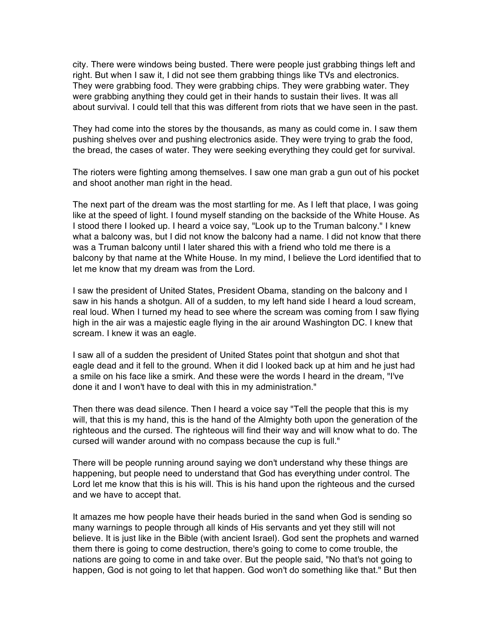city. There were windows being busted. There were people just grabbing things left and right. But when I saw it, I did not see them grabbing things like TVs and electronics. They were grabbing food. They were grabbing chips. They were grabbing water. They were grabbing anything they could get in their hands to sustain their lives. It was all about survival. I could tell that this was different from riots that we have seen in the past.

They had come into the stores by the thousands, as many as could come in. I saw them pushing shelves over and pushing electronics aside. They were trying to grab the food, the bread, the cases of water. They were seeking everything they could get for survival.

The rioters were fighting among themselves. I saw one man grab a gun out of his pocket and shoot another man right in the head.

The next part of the dream was the most startling for me. As I left that place, I was going like at the speed of light. I found myself standing on the backside of the White House. As I stood there I looked up. I heard a voice say, "Look up to the Truman balcony." I knew what a balcony was, but I did not know the balcony had a name. I did not know that there was a Truman balcony until I later shared this with a friend who told me there is a balcony by that name at the White House. In my mind, I believe the Lord identified that to let me know that my dream was from the Lord.

I saw the president of United States, President Obama, standing on the balcony and I saw in his hands a shotgun. All of a sudden, to my left hand side I heard a loud scream, real loud. When I turned my head to see where the scream was coming from I saw flying high in the air was a majestic eagle flying in the air around Washington DC. I knew that scream. I knew it was an eagle.

I saw all of a sudden the president of United States point that shotgun and shot that eagle dead and it fell to the ground. When it did I looked back up at him and he just had a smile on his face like a smirk. And these were the words I heard in the dream, "I've done it and I won't have to deal with this in my administration."

Then there was dead silence. Then I heard a voice say "Tell the people that this is my will, that this is my hand, this is the hand of the Almighty both upon the generation of the righteous and the cursed. The righteous will find their way and will know what to do. The cursed will wander around with no compass because the cup is full."

There will be people running around saying we don't understand why these things are happening, but people need to understand that God has everything under control. The Lord let me know that this is his will. This is his hand upon the righteous and the cursed and we have to accept that.

It amazes me how people have their heads buried in the sand when God is sending so many warnings to people through all kinds of His servants and yet they still will not believe. It is just like in the Bible (with ancient Israel). God sent the prophets and warned them there is going to come destruction, there's going to come to come trouble, the nations are going to come in and take over. But the people said, "No that's not going to happen, God is not going to let that happen. God won't do something like that." But then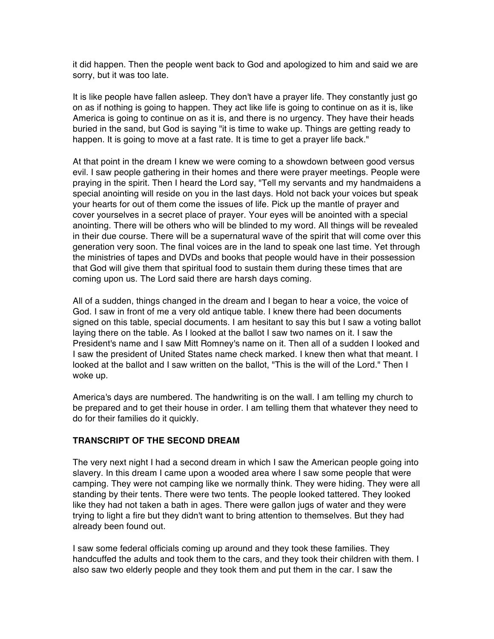it did happen. Then the people went back to God and apologized to him and said we are sorry, but it was too late.

It is like people have fallen asleep. They don't have a prayer life. They constantly just go on as if nothing is going to happen. They act like life is going to continue on as it is, like America is going to continue on as it is, and there is no urgency. They have their heads buried in the sand, but God is saying "it is time to wake up. Things are getting ready to happen. It is going to move at a fast rate. It is time to get a prayer life back."

At that point in the dream I knew we were coming to a showdown between good versus evil. I saw people gathering in their homes and there were prayer meetings. People were praying in the spirit. Then I heard the Lord say, "Tell my servants and my handmaidens a special anointing will reside on you in the last days. Hold not back your voices but speak your hearts for out of them come the issues of life. Pick up the mantle of prayer and cover yourselves in a secret place of prayer. Your eyes will be anointed with a special anointing. There will be others who will be blinded to my word. All things will be revealed in their due course. There will be a supernatural wave of the spirit that will come over this generation very soon. The final voices are in the land to speak one last time. Yet through the ministries of tapes and DVDs and books that people would have in their possession that God will give them that spiritual food to sustain them during these times that are coming upon us. The Lord said there are harsh days coming.

All of a sudden, things changed in the dream and I began to hear a voice, the voice of God. I saw in front of me a very old antique table. I knew there had been documents signed on this table, special documents. I am hesitant to say this but I saw a voting ballot laying there on the table. As I looked at the ballot I saw two names on it. I saw the President's name and I saw Mitt Romney's name on it. Then all of a sudden I looked and I saw the president of United States name check marked. I knew then what that meant. I looked at the ballot and I saw written on the ballot, "This is the will of the Lord." Then I woke up.

America's days are numbered. The handwriting is on the wall. I am telling my church to be prepared and to get their house in order. I am telling them that whatever they need to do for their families do it quickly.

## **TRANSCRIPT OF THE SECOND DREAM**

The very next night I had a second dream in which I saw the American people going into slavery. In this dream I came upon a wooded area where I saw some people that were camping. They were not camping like we normally think. They were hiding. They were all standing by their tents. There were two tents. The people looked tattered. They looked like they had not taken a bath in ages. There were gallon jugs of water and they were trying to light a fire but they didn't want to bring attention to themselves. But they had already been found out.

I saw some federal officials coming up around and they took these families. They handcuffed the adults and took them to the cars, and they took their children with them. I also saw two elderly people and they took them and put them in the car. I saw the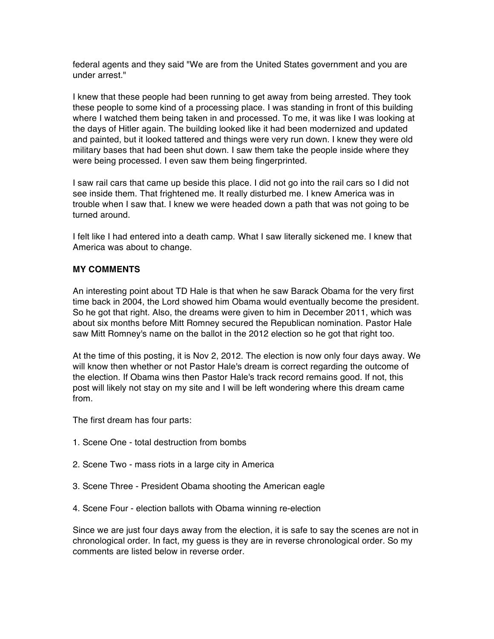federal agents and they said "We are from the United States government and you are under arrest."

I knew that these people had been running to get away from being arrested. They took these people to some kind of a processing place. I was standing in front of this building where I watched them being taken in and processed. To me, it was like I was looking at the days of Hitler again. The building looked like it had been modernized and updated and painted, but it looked tattered and things were very run down. I knew they were old military bases that had been shut down. I saw them take the people inside where they were being processed. I even saw them being fingerprinted.

I saw rail cars that came up beside this place. I did not go into the rail cars so I did not see inside them. That frightened me. It really disturbed me. I knew America was in trouble when I saw that. I knew we were headed down a path that was not going to be turned around.

I felt like I had entered into a death camp. What I saw literally sickened me. I knew that America was about to change.

## **MY COMMENTS**

An interesting point about TD Hale is that when he saw Barack Obama for the very first time back in 2004, the Lord showed him Obama would eventually become the president. So he got that right. Also, the dreams were given to him in December 2011, which was about six months before Mitt Romney secured the Republican nomination. Pastor Hale saw Mitt Romney's name on the ballot in the 2012 election so he got that right too.

At the time of this posting, it is Nov 2, 2012. The election is now only four days away. We will know then whether or not Pastor Hale's dream is correct regarding the outcome of the election. If Obama wins then Pastor Hale's track record remains good. If not, this post will likely not stay on my site and I will be left wondering where this dream came from.

The first dream has four parts:

- 1. Scene One total destruction from bombs
- 2. Scene Two mass riots in a large city in America
- 3. Scene Three President Obama shooting the American eagle
- 4. Scene Four election ballots with Obama winning re-election

Since we are just four days away from the election, it is safe to say the scenes are not in chronological order. In fact, my guess is they are in reverse chronological order. So my comments are listed below in reverse order.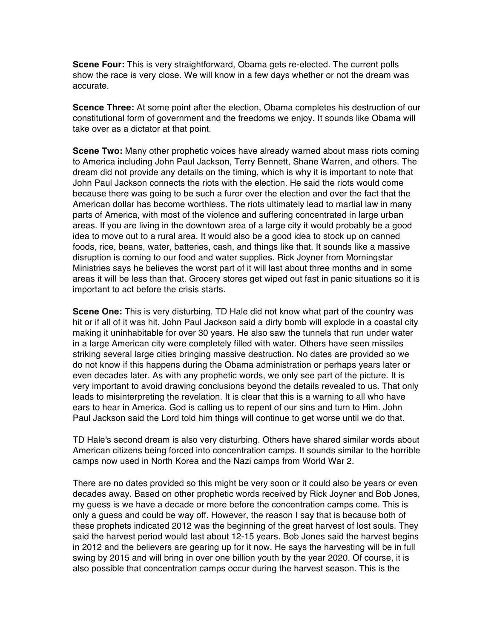**Scene Four:** This is very straightforward, Obama gets re-elected. The current polls show the race is very close. We will know in a few days whether or not the dream was accurate.

**Scence Three:** At some point after the election, Obama completes his destruction of our constitutional form of government and the freedoms we enjoy. It sounds like Obama will take over as a dictator at that point.

**Scene Two:** Many other prophetic voices have already warned about mass riots coming to America including John Paul Jackson, Terry Bennett, Shane Warren, and others. The dream did not provide any details on the timing, which is why it is important to note that John Paul Jackson connects the riots with the election. He said the riots would come because there was going to be such a furor over the election and over the fact that the American dollar has become worthless. The riots ultimately lead to martial law in many parts of America, with most of the violence and suffering concentrated in large urban areas. If you are living in the downtown area of a large city it would probably be a good idea to move out to a rural area. It would also be a good idea to stock up on canned foods, rice, beans, water, batteries, cash, and things like that. It sounds like a massive disruption is coming to our food and water supplies. Rick Joyner from Morningstar Ministries says he believes the worst part of it will last about three months and in some areas it will be less than that. Grocery stores get wiped out fast in panic situations so it is important to act before the crisis starts.

**Scene One:** This is very disturbing. TD Hale did not know what part of the country was hit or if all of it was hit. John Paul Jackson said a dirty bomb will explode in a coastal city making it uninhabitable for over 30 years. He also saw the tunnels that run under water in a large American city were completely filled with water. Others have seen missiles striking several large cities bringing massive destruction. No dates are provided so we do not know if this happens during the Obama administration or perhaps years later or even decades later. As with any prophetic words, we only see part of the picture. It is very important to avoid drawing conclusions beyond the details revealed to us. That only leads to misinterpreting the revelation. It is clear that this is a warning to all who have ears to hear in America. God is calling us to repent of our sins and turn to Him. John Paul Jackson said the Lord told him things will continue to get worse until we do that.

TD Hale's second dream is also very disturbing. Others have shared similar words about American citizens being forced into concentration camps. It sounds similar to the horrible camps now used in North Korea and the Nazi camps from World War 2.

There are no dates provided so this might be very soon or it could also be years or even decades away. Based on other prophetic words received by Rick Joyner and Bob Jones, my guess is we have a decade or more before the concentration camps come. This is only a guess and could be way off. However, the reason I say that is because both of these prophets indicated 2012 was the beginning of the great harvest of lost souls. They said the harvest period would last about 12-15 years. Bob Jones said the harvest begins in 2012 and the believers are gearing up for it now. He says the harvesting will be in full swing by 2015 and will bring in over one billion youth by the year 2020. Of course, it is also possible that concentration camps occur during the harvest season. This is the